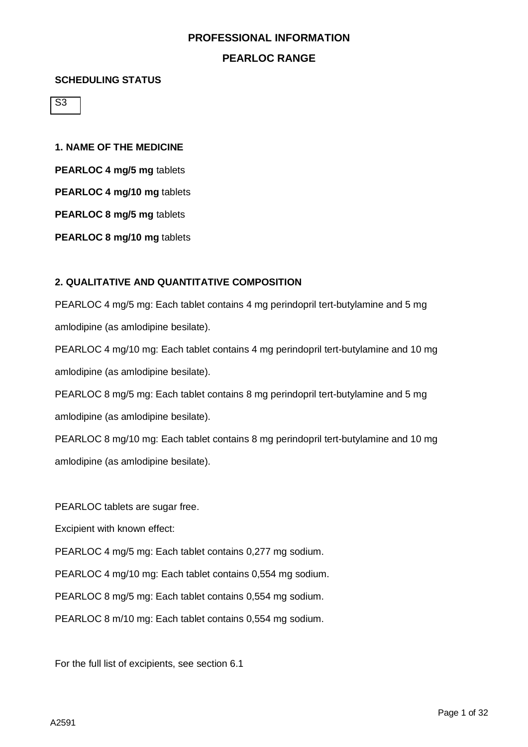## **PEARLOC RANGE**

#### **SCHEDULING STATUS**

S3

**1. NAME OF THE MEDICINE PEARLOC 4 mg/5 mg** tablets **PEARLOC 4 mg/10 mg** tablets **PEARLOC 8 mg/5 mg** tablets

**PEARLOC 8 mg/10 mg** tablets

## **2. QUALITATIVE AND QUANTITATIVE COMPOSITION**

PEARLOC 4 mg/5 mg: Each tablet contains 4 mg perindopril tert-butylamine and 5 mg amlodipine (as amlodipine besilate).

PEARLOC 4 mg/10 mg: Each tablet contains 4 mg perindopril tert-butylamine and 10 mg amlodipine (as amlodipine besilate).

PEARLOC 8 mg/5 mg: Each tablet contains 8 mg perindopril tert-butylamine and 5 mg amlodipine (as amlodipine besilate).

PEARLOC 8 mg/10 mg: Each tablet contains 8 mg perindopril tert-butylamine and 10 mg amlodipine (as amlodipine besilate).

PEARLOC tablets are sugar free.

Excipient with known effect:

PEARLOC 4 mg/5 mg: Each tablet contains 0,277 mg sodium.

PEARLOC 4 mg/10 mg: Each tablet contains 0,554 mg sodium.

PEARLOC 8 mg/5 mg: Each tablet contains 0,554 mg sodium.

PEARLOC 8 m/10 mg: Each tablet contains 0,554 mg sodium.

For the full list of excipients, see section 6.1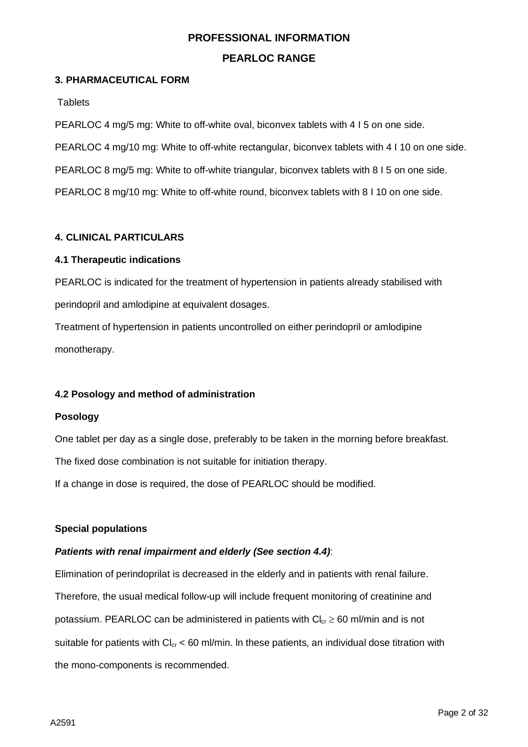## **PEARLOC RANGE**

## **3. PHARMACEUTICAL FORM**

**Tablets** 

PEARLOC 4 mg/5 mg: White to off-white oval, biconvex tablets with 4 I 5 on one side. PEARLOC 4 mg/10 mg: White to off-white rectangular, biconvex tablets with 4 I 10 on one side. PEARLOC 8 mg/5 mg: White to off-white triangular, biconvex tablets with 8 I 5 on one side. PEARLOC 8 mg/10 mg: White to off-white round, biconvex tablets with 8 I 10 on one side.

## **4. CLINICAL PARTICULARS**

## **4.1 Therapeutic indications**

PEARLOC is indicated for the treatment of hypertension in patients already stabilised with perindopril and amlodipine at equivalent dosages.

Treatment of hypertension in patients uncontrolled on either perindopril or amlodipine monotherapy.

## **4.2 Posology and method of administration**

#### **Posology**

One tablet per day as a single dose, preferably to be taken in the morning before breakfast.

The fixed dose combination is not suitable for initiation therapy.

If a change in dose is required, the dose of PEARLOC should be modified.

#### **Special populations**

#### *Patients with renal impairment and elderly (See section 4.4)*:

Elimination of perindoprilat is decreased in the elderly and in patients with renal failure. Therefore, the usual medical follow-up will include frequent monitoring of creatinine and potassium. PEARLOC can be administered in patients with  $Cl_{cr} \geq 60$  ml/min and is not suitable for patients with  $Cl_{cr}$  < 60 ml/min. In these patients, an individual dose titration with the mono-components is recommended.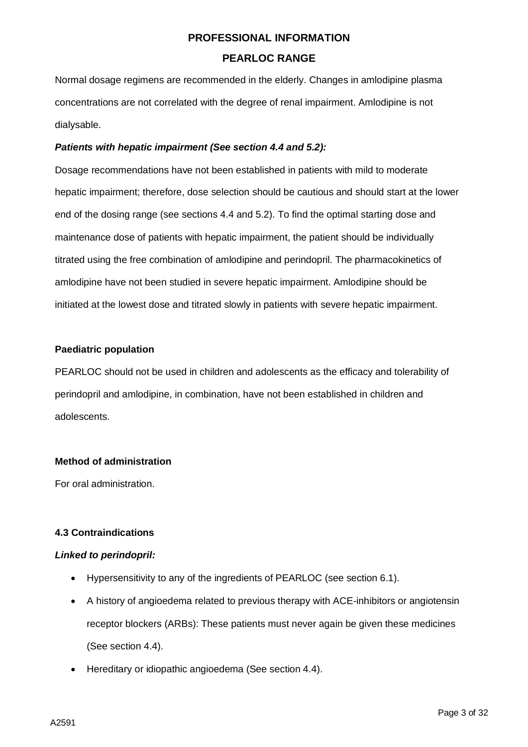Normal dosage regimens are recommended in the elderly. Changes in amlodipine plasma concentrations are not correlated with the degree of renal impairment. Amlodipine is not dialysable.

## *Patients with hepatic impairment (See section 4.4 and 5.2):*

Dosage recommendations have not been established in patients with mild to moderate hepatic impairment; therefore, dose selection should be cautious and should start at the lower end of the dosing range (see sections 4.4 and 5.2). To find the optimal starting dose and maintenance dose of patients with hepatic impairment, the patient should be individually titrated using the free combination of amlodipine and perindopril. The pharmacokinetics of amlodipine have not been studied in severe hepatic impairment. Amlodipine should be initiated at the lowest dose and titrated slowly in patients with severe hepatic impairment.

## **Paediatric population**

PEARLOC should not be used in children and adolescents as the efficacy and tolerability of perindopril and amlodipine, in combination, have not been established in children and adolescents.

## **Method of administration**

For oral administration.

## **4.3 Contraindications**

#### *Linked to perindopril:*

- Hypersensitivity to any of the ingredients of PEARLOC (see section 6.1).
- A history of angioedema related to previous therapy with ACE-inhibitors or angiotensin receptor blockers (ARBs): These patients must never again be given these medicines (See section 4.4).
- Hereditary or idiopathic angioedema (See section 4.4).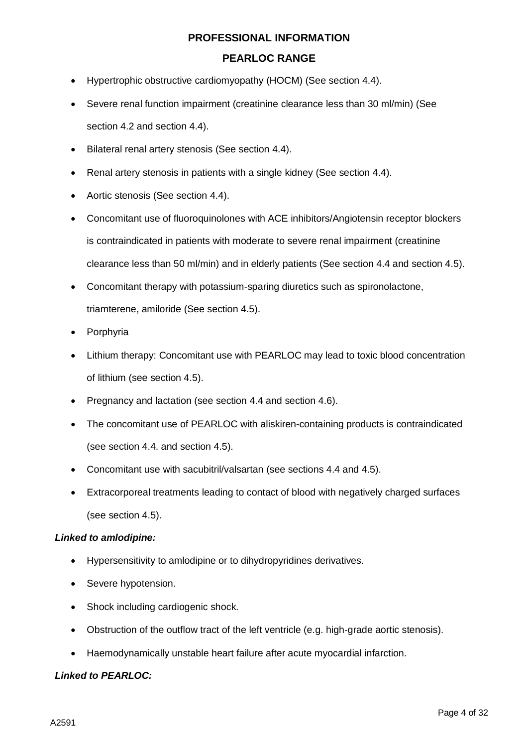## **PEARLOC RANGE**

- Hypertrophic obstructive cardiomyopathy (HOCM) (See section 4.4).
- Severe renal function impairment (creatinine clearance less than 30 ml/min) (See section 4.2 and section 4.4).
- Bilateral renal artery stenosis (See section 4.4).
- Renal artery stenosis in patients with a single kidney (See section 4.4).
- Aortic stenosis (See section 4.4).
- Concomitant use of fluoroquinolones with ACE inhibitors/Angiotensin receptor blockers is contraindicated in patients with moderate to severe renal impairment (creatinine clearance less than 50 ml/min) and in elderly patients (See section 4.4 and section 4.5).
- Concomitant therapy with potassium-sparing diuretics such as spironolactone, triamterene, amiloride (See section 4.5).
- **Porphyria**
- Lithium therapy: Concomitant use with PEARLOC may lead to toxic blood concentration of lithium (see section 4.5).
- Pregnancy and lactation (see section 4.4 and section 4.6).
- The concomitant use of PEARLOC with aliskiren-containing products is contraindicated (see section 4.4. and section 4.5).
- Concomitant use with sacubitril/valsartan (see sections 4.4 and 4.5).
- Extracorporeal treatments leading to contact of blood with negatively charged surfaces (see section 4.5).

#### *Linked to amlodipine:*

- Hypersensitivity to amlodipine or to dihydropyridines derivatives.
- Severe hypotension.
- Shock including cardiogenic shock.
- Obstruction of the outflow tract of the left ventricle (e.g. high-grade aortic stenosis).
- Haemodynamically unstable heart failure after acute myocardial infarction.

#### *Linked to PEARLOC:*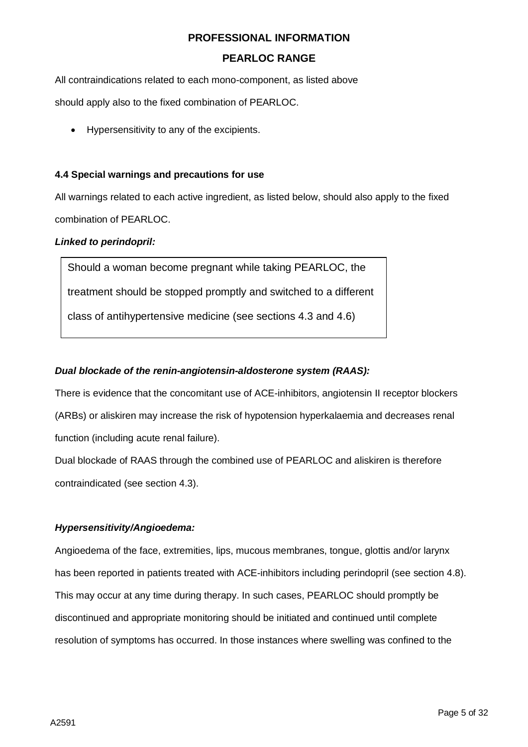## **PEARLOC RANGE**

All contraindications related to each mono-component, as listed above

should apply also to the fixed combination of PEARLOC.

• Hypersensitivity to any of the excipients.

#### **4.4 Special warnings and precautions for use**

All warnings related to each active ingredient, as listed below, should also apply to the fixed combination of PEARLOC.

## *Linked to perindopril:*

Should a woman become pregnant while taking PEARLOC, the treatment should be stopped promptly and switched to a different class of antihypertensive medicine (see sections 4.3 and 4.6)

## *Dual blockade of the renin-angiotensin-aldosterone system (RAAS):*

There is evidence that the concomitant use of ACE-inhibitors, angiotensin II receptor blockers (ARBs) or aliskiren may increase the risk of hypotension hyperkalaemia and decreases renal function (including acute renal failure).

Dual blockade of RAAS through the combined use of PEARLOC and aliskiren is therefore contraindicated (see section 4.3).

## *Hypersensitivity/Angioedema:*

Angioedema of the face, extremities, lips, mucous membranes, tongue, glottis and/or larynx has been reported in patients treated with ACE-inhibitors including perindopril (see section 4.8). This may occur at any time during therapy. In such cases, PEARLOC should promptly be discontinued and appropriate monitoring should be initiated and continued until complete resolution of symptoms has occurred. In those instances where swelling was confined to the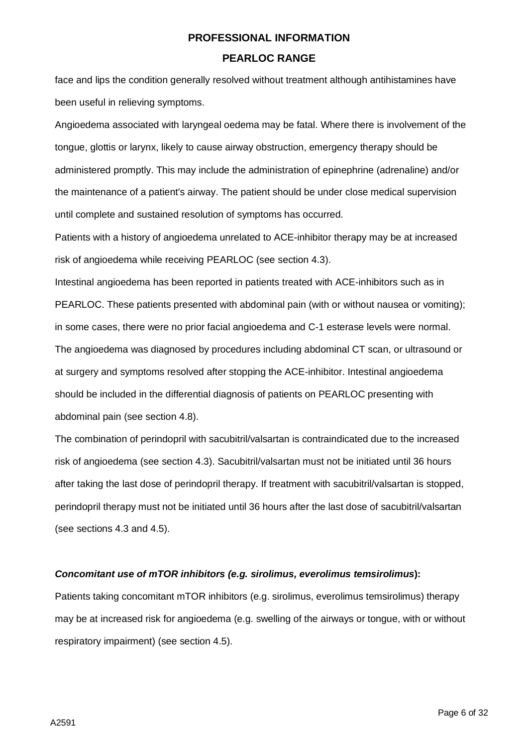face and lips the condition generally resolved without treatment although antihistamines have been useful in relieving symptoms.

Angioedema associated with laryngeal oedema may be fatal. Where there is involvement of the tongue, glottis or larynx, likely to cause airway obstruction, emergency therapy should be administered promptly. This may include the administration of epinephrine (adrenaline) and/or the maintenance of a patient's airway. The patient should be under close medical supervision until complete and sustained resolution of symptoms has occurred.

Patients with a history of angioedema unrelated to ACE-inhibitor therapy may be at increased risk of angioedema while receiving PEARLOC (see section 4.3).

Intestinal angioedema has been reported in patients treated with ACE-inhibitors such as in PEARLOC. These patients presented with abdominal pain (with or without nausea or vomiting); in some cases, there were no prior facial angioedema and C-1 esterase levels were normal. The angioedema was diagnosed by procedures including abdominal CT scan, or ultrasound or at surgery and symptoms resolved after stopping the ACE-inhibitor. Intestinal angioedema should be included in the differential diagnosis of patients on PEARLOC presenting with abdominal pain (see section 4.8).

The combination of perindopril with sacubitril/valsartan is contraindicated due to the increased risk of angioedema (see section 4.3). Sacubitril/valsartan must not be initiated until 36 hours after taking the last dose of perindopril therapy. If treatment with sacubitril/valsartan is stopped, perindopril therapy must not be initiated until 36 hours after the last dose of sacubitril/valsartan (see sections 4.3 and 4.5).

#### *Concomitant use of mTOR inhibitors (e.g. sirolimus, everolimus temsirolimus***):**

Patients taking concomitant mTOR inhibitors (e.g. sirolimus, everolimus temsirolimus) therapy may be at increased risk for angioedema (e.g. swelling of the airways or tongue, with or without respiratory impairment) (see section 4.5).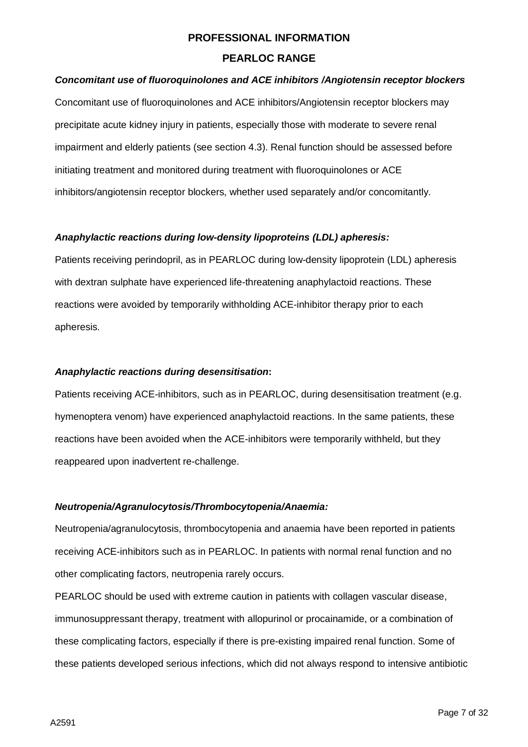## **PEARLOC RANGE**

## *Concomitant use of fluoroquinolones and ACE inhibitors /Angiotensin receptor blockers*

Concomitant use of fluoroquinolones and ACE inhibitors/Angiotensin receptor blockers may precipitate acute kidney injury in patients, especially those with moderate to severe renal impairment and elderly patients (see section 4.3). Renal function should be assessed before initiating treatment and monitored during treatment with fluoroquinolones or ACE inhibitors/angiotensin receptor blockers, whether used separately and/or concomitantly.

#### *Anaphylactic reactions during low-density lipoproteins (LDL) apheresis:*

Patients receiving perindopril, as in PEARLOC during low-density lipoprotein (LDL) apheresis with dextran sulphate have experienced life-threatening anaphylactoid reactions. These reactions were avoided by temporarily withholding ACE-inhibitor therapy prior to each apheresis.

#### *Anaphylactic reactions during desensitisation***:**

Patients receiving ACE-inhibitors, such as in PEARLOC, during desensitisation treatment (e.g. hymenoptera venom) have experienced anaphylactoid reactions. In the same patients, these reactions have been avoided when the ACE-inhibitors were temporarily withheld, but they reappeared upon inadvertent re-challenge.

#### *Neutropenia/Agranulocytosis/Thrombocytopenia/Anaemia:*

Neutropenia/agranulocytosis, thrombocytopenia and anaemia have been reported in patients receiving ACE-inhibitors such as in PEARLOC. In patients with normal renal function and no other complicating factors, neutropenia rarely occurs.

PEARLOC should be used with extreme caution in patients with collagen vascular disease, immunosuppressant therapy, treatment with allopurinol or procainamide, or a combination of these complicating factors, especially if there is pre-existing impaired renal function. Some of these patients developed serious infections, which did not always respond to intensive antibiotic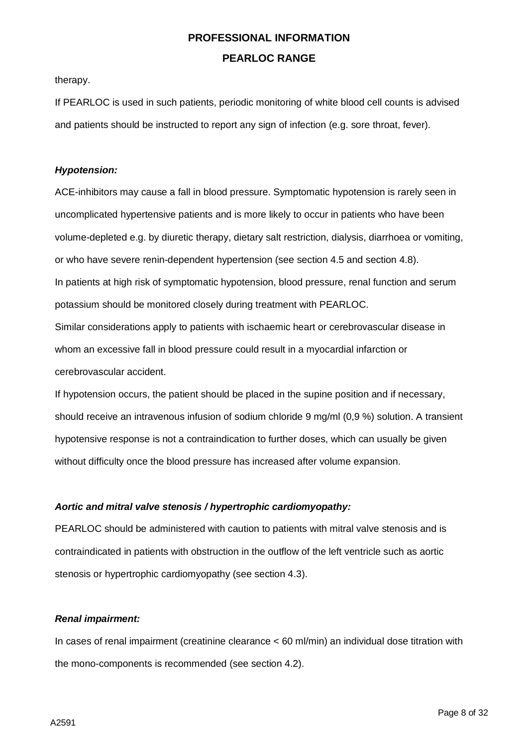therapy.

If PEARLOC is used in such patients, periodic monitoring of white blood cell counts is advised and patients should be instructed to report any sign of infection (e.g. sore throat, fever).

## *Hypotension:*

ACE-inhibitors may cause a fall in blood pressure. Symptomatic hypotension is rarely seen in uncomplicated hypertensive patients and is more likely to occur in patients who have been volume-depleted e.g. by diuretic therapy, dietary salt restriction, dialysis, diarrhoea or vomiting, or who have severe renin-dependent hypertension (see section 4.5 and section 4.8). In patients at high risk of symptomatic hypotension, blood pressure, renal function and serum potassium should be monitored closely during treatment with PEARLOC. Similar considerations apply to patients with ischaemic heart or cerebrovascular disease in whom an excessive fall in blood pressure could result in a myocardial infarction or

cerebrovascular accident.

If hypotension occurs, the patient should be placed in the supine position and if necessary, should receive an intravenous infusion of sodium chloride 9 mg/ml (0,9 %) solution. A transient hypotensive response is not a contraindication to further doses, which can usually be given without difficulty once the blood pressure has increased after volume expansion.

## *Aortic and mitral valve stenosis / hypertrophic cardiomyopathy:*

PEARLOC should be administered with caution to patients with mitral valve stenosis and is contraindicated in patients with obstruction in the outflow of the left ventricle such as aortic stenosis or hypertrophic cardiomyopathy (see section 4.3).

#### *Renal impairment:*

In cases of renal impairment (creatinine clearance < 60 ml/min) an individual dose titration with the mono-components is recommended (see section 4.2).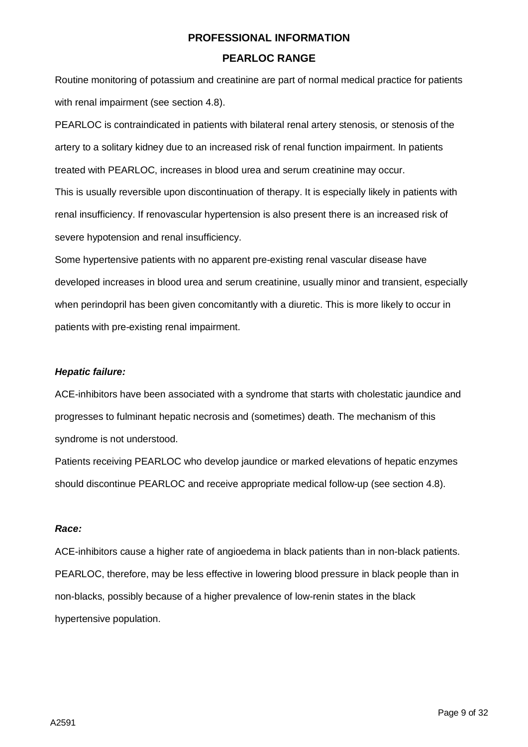Routine monitoring of potassium and creatinine are part of normal medical practice for patients with renal impairment (see section 4.8).

PEARLOC is contraindicated in patients with bilateral renal artery stenosis, or stenosis of the artery to a solitary kidney due to an increased risk of renal function impairment. In patients treated with PEARLOC, increases in blood urea and serum creatinine may occur. This is usually reversible upon discontinuation of therapy. It is especially likely in patients with renal insufficiency. If renovascular hypertension is also present there is an increased risk of severe hypotension and renal insufficiency.

Some hypertensive patients with no apparent pre-existing renal vascular disease have developed increases in blood urea and serum creatinine, usually minor and transient, especially when perindopril has been given concomitantly with a diuretic. This is more likely to occur in patients with pre-existing renal impairment.

#### *Hepatic failure:*

ACE-inhibitors have been associated with a syndrome that starts with cholestatic jaundice and progresses to fulminant hepatic necrosis and (sometimes) death. The mechanism of this syndrome is not understood.

Patients receiving PEARLOC who develop jaundice or marked elevations of hepatic enzymes should discontinue PEARLOC and receive appropriate medical follow-up (see section 4.8).

#### *Race:*

ACE-inhibitors cause a higher rate of angioedema in black patients than in non-black patients. PEARLOC, therefore, may be less effective in lowering blood pressure in black people than in non-blacks, possibly because of a higher prevalence of low-renin states in the black hypertensive population.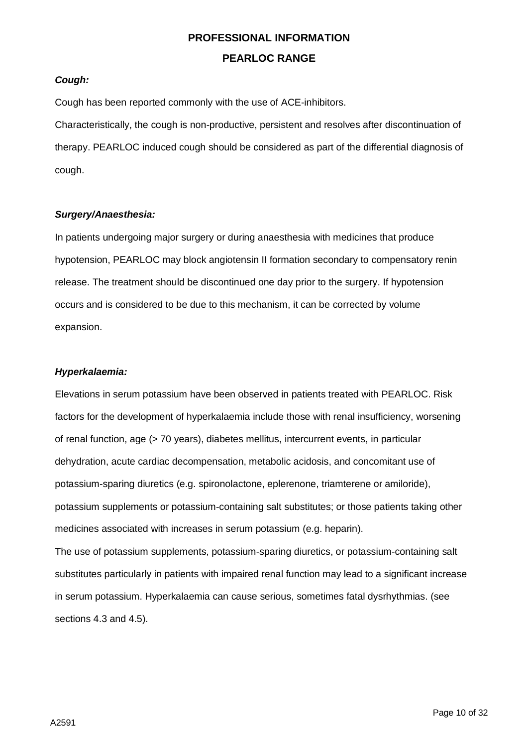## *Cough:*

Cough has been reported commonly with the use of ACE-inhibitors.

Characteristically, the cough is non-productive, persistent and resolves after discontinuation of therapy. PEARLOC induced cough should be considered as part of the differential diagnosis of cough.

#### *Surgery/Anaesthesia:*

In patients undergoing major surgery or during anaesthesia with medicines that produce hypotension, PEARLOC may block angiotensin II formation secondary to compensatory renin release. The treatment should be discontinued one day prior to the surgery. If hypotension occurs and is considered to be due to this mechanism, it can be corrected by volume expansion.

#### *Hyperkalaemia:*

Elevations in serum potassium have been observed in patients treated with PEARLOC. Risk factors for the development of hyperkalaemia include those with renal insufficiency, worsening of renal function, age (> 70 years), diabetes mellitus, intercurrent events, in particular dehydration, acute cardiac decompensation, metabolic acidosis, and concomitant use of potassium-sparing diuretics (e.g. spironolactone, eplerenone, triamterene or amiloride), potassium supplements or potassium-containing salt substitutes; or those patients taking other medicines associated with increases in serum potassium (e.g. heparin).

The use of potassium supplements, potassium-sparing diuretics, or potassium-containing salt substitutes particularly in patients with impaired renal function may lead to a significant increase in serum potassium. Hyperkalaemia can cause serious, sometimes fatal dysrhythmias. (see sections 4.3 and 4.5).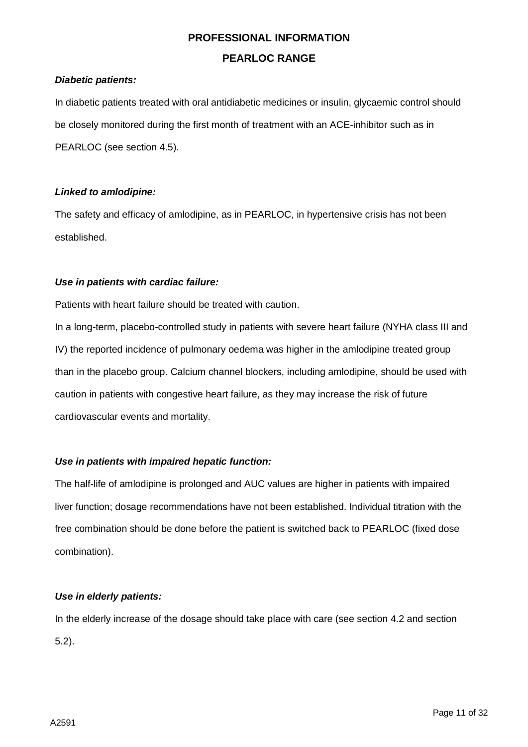## **PEARLOC RANGE**

## *Diabetic patients:*

In diabetic patients treated with oral antidiabetic medicines or insulin, glycaemic control should be closely monitored during the first month of treatment with an ACE-inhibitor such as in PEARLOC (see section 4.5).

#### *Linked to amlodipine:*

The safety and efficacy of amlodipine, as in PEARLOC, in hypertensive crisis has not been established.

## *Use in patients with cardiac failure:*

Patients with heart failure should be treated with caution.

In a long-term, placebo-controlled study in patients with severe heart failure (NYHA class III and IV) the reported incidence of pulmonary oedema was higher in the amlodipine treated group than in the placebo group. Calcium channel blockers, including amlodipine, should be used with caution in patients with congestive heart failure, as they may increase the risk of future cardiovascular events and mortality.

## *Use in patients with impaired hepatic function:*

The half-life of amlodipine is prolonged and AUC values are higher in patients with impaired liver function; dosage recommendations have not been established. Individual titration with the free combination should be done before the patient is switched back to PEARLOC (fixed dose combination).

#### *Use in elderly patients:*

In the elderly increase of the dosage should take place with care (see section 4.2 and section 5.2).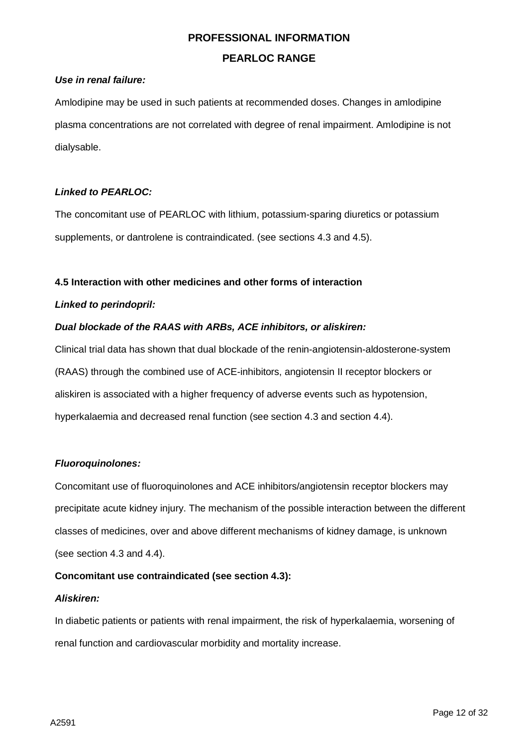## **PEARLOC RANGE**

## *Use in renal failure:*

Amlodipine may be used in such patients at recommended doses. Changes in amlodipine plasma concentrations are not correlated with degree of renal impairment. Amlodipine is not dialysable.

## *Linked to PEARLOC:*

The concomitant use of PEARLOC with lithium, potassium-sparing diuretics or potassium supplements, or dantrolene is contraindicated. (see sections 4.3 and 4.5).

#### **4.5 Interaction with other medicines and other forms of interaction**

#### *Linked to perindopril:*

## *Dual blockade of the RAAS with ARBs, ACE inhibitors, or aliskiren:*

Clinical trial data has shown that dual blockade of the renin-angiotensin-aldosterone-system (RAAS) through the combined use of ACE-inhibitors, angiotensin II receptor blockers or aliskiren is associated with a higher frequency of adverse events such as hypotension, hyperkalaemia and decreased renal function (see section 4.3 and section 4.4).

## *Fluoroquinolones:*

Concomitant use of fluoroquinolones and ACE inhibitors/angiotensin receptor blockers may precipitate acute kidney injury. The mechanism of the possible interaction between the different classes of medicines, over and above different mechanisms of kidney damage, is unknown (see section 4.3 and 4.4).

#### **Concomitant use contraindicated (see section 4.3):**

#### *Aliskiren:*

In diabetic patients or patients with renal impairment, the risk of hyperkalaemia, worsening of renal function and cardiovascular morbidity and mortality increase.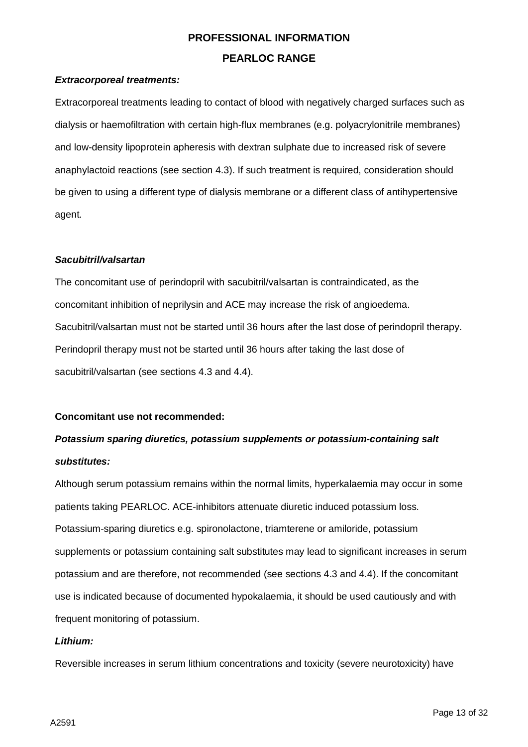## *Extracorporeal treatments:*

Extracorporeal treatments leading to contact of blood with negatively charged surfaces such as dialysis or haemofiltration with certain high-flux membranes (e.g. polyacrylonitrile membranes) and low-density lipoprotein apheresis with dextran sulphate due to increased risk of severe anaphylactoid reactions (see section 4.3). If such treatment is required, consideration should be given to using a different type of dialysis membrane or a different class of antihypertensive agent.

#### *Sacubitril/valsartan*

The concomitant use of perindopril with sacubitril/valsartan is contraindicated, as the concomitant inhibition of neprilysin and ACE may increase the risk of angioedema. Sacubitril/valsartan must not be started until 36 hours after the last dose of perindopril therapy. Perindopril therapy must not be started until 36 hours after taking the last dose of sacubitril/valsartan (see sections 4.3 and 4.4).

#### **Concomitant use not recommended:**

## *Potassium sparing diuretics, potassium supplements or potassium-containing salt substitutes:*

Although serum potassium remains within the normal limits, hyperkalaemia may occur in some patients taking PEARLOC. ACE-inhibitors attenuate diuretic induced potassium loss. Potassium-sparing diuretics e.g. spironolactone, triamterene or amiloride, potassium supplements or potassium containing salt substitutes may lead to significant increases in serum potassium and are therefore, not recommended (see sections 4.3 and 4.4). If the concomitant use is indicated because of documented hypokalaemia, it should be used cautiously and with frequent monitoring of potassium.

#### *Lithium:*

Reversible increases in serum lithium concentrations and toxicity (severe neurotoxicity) have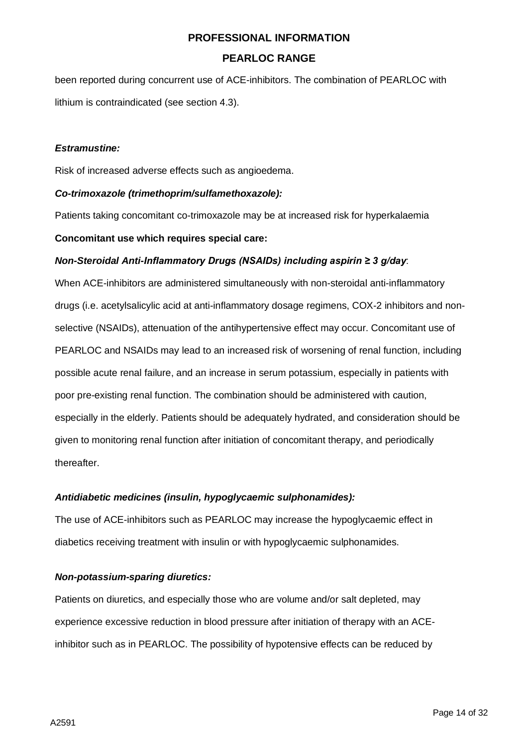## **PEARLOC RANGE**

been reported during concurrent use of ACE-inhibitors. The combination of PEARLOC with lithium is contraindicated (see section 4.3).

#### *Estramustine:*

Risk of increased adverse effects such as angioedema.

#### *Co-trimoxazole (trimethoprim/sulfamethoxazole):*

Patients taking concomitant co-trimoxazole may be at increased risk for hyperkalaemia

#### **Concomitant use which requires special care:**

#### *Non-Steroidal Anti-Inflammatory Drugs (NSAIDs) including aspirin ≥ 3 g/day*:

When ACE-inhibitors are administered simultaneously with non-steroidal anti-inflammatory drugs (i.e. acetylsalicylic acid at anti-inflammatory dosage regimens, COX-2 inhibitors and nonselective (NSAIDs), attenuation of the antihypertensive effect may occur. Concomitant use of PEARLOC and NSAIDs may lead to an increased risk of worsening of renal function, including possible acute renal failure, and an increase in serum potassium, especially in patients with poor pre-existing renal function. The combination should be administered with caution, especially in the elderly. Patients should be adequately hydrated, and consideration should be given to monitoring renal function after initiation of concomitant therapy, and periodically thereafter.

#### *Antidiabetic medicines (insulin, hypoglycaemic sulphonamides):*

The use of ACE-inhibitors such as PEARLOC may increase the hypoglycaemic effect in diabetics receiving treatment with insulin or with hypoglycaemic sulphonamides.

#### *Non-potassium-sparing diuretics:*

Patients on diuretics, and especially those who are volume and/or salt depleted, may experience excessive reduction in blood pressure after initiation of therapy with an ACEinhibitor such as in PEARLOC. The possibility of hypotensive effects can be reduced by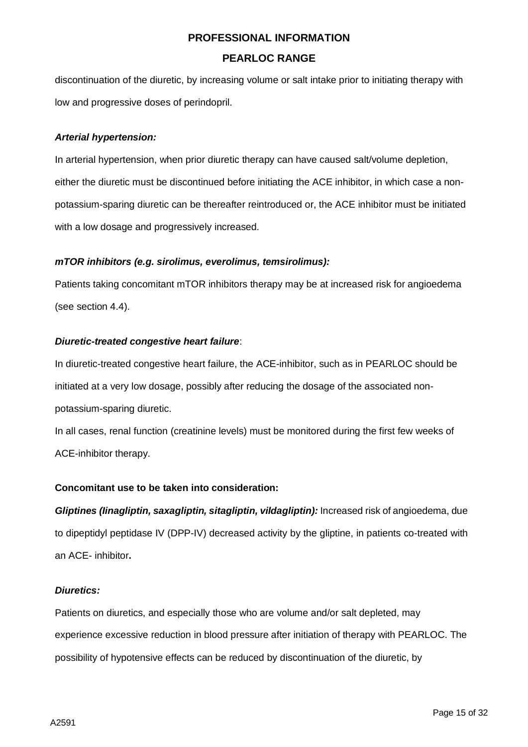discontinuation of the diuretic, by increasing volume or salt intake prior to initiating therapy with low and progressive doses of perindopril.

## *Arterial hypertension:*

In arterial hypertension, when prior diuretic therapy can have caused salt/volume depletion, either the diuretic must be discontinued before initiating the ACE inhibitor, in which case a nonpotassium-sparing diuretic can be thereafter reintroduced or, the ACE inhibitor must be initiated with a low dosage and progressively increased.

## *mTOR inhibitors (e.g. sirolimus, everolimus, temsirolimus):*

Patients taking concomitant mTOR inhibitors therapy may be at increased risk for angioedema (see section 4.4).

## *Diuretic-treated congestive heart failure*:

In diuretic-treated congestive heart failure, the ACE-inhibitor, such as in PEARLOC should be initiated at a very low dosage, possibly after reducing the dosage of the associated nonpotassium-sparing diuretic.

In all cases, renal function (creatinine levels) must be monitored during the first few weeks of ACE-inhibitor therapy.

#### **Concomitant use to be taken into consideration:**

*Gliptines (Iinagliptin, saxagliptin, sitagliptin, vildagliptin):* Increased risk of angioedema, due to dipeptidyl peptidase IV (DPP-IV) decreased activity by the gliptine, in patients co-treated with an ACE- inhibitor**.**

#### *Diuretics:*

Patients on diuretics, and especially those who are volume and/or salt depleted, may experience excessive reduction in blood pressure after initiation of therapy with PEARLOC. The possibility of hypotensive effects can be reduced by discontinuation of the diuretic, by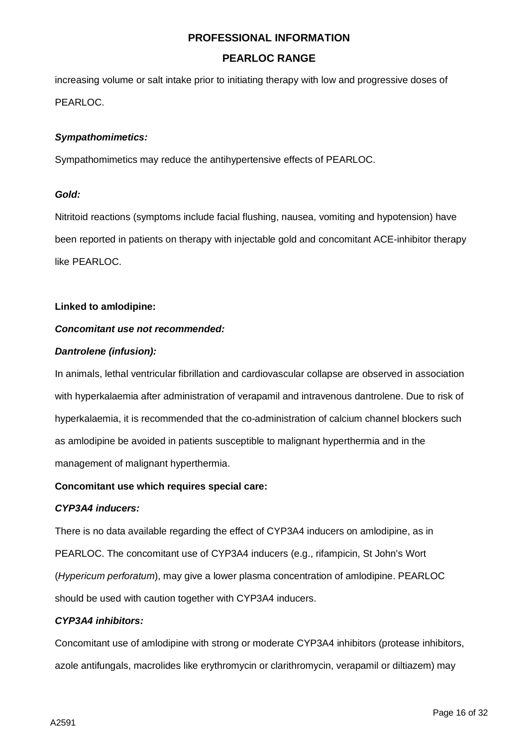## **PEARLOC RANGE**

increasing volume or salt intake prior to initiating therapy with low and progressive doses of PEARLOC.

## *Sympathomimetics:*

Sympathomimetics may reduce the antihypertensive effects of PEARLOC.

#### *Gold:*

Nitritoid reactions (symptoms include facial flushing, nausea, vomiting and hypotension) have been reported in patients on therapy with injectable gold and concomitant ACE-inhibitor therapy like PEARLOC.

## **Linked to amlodipine:**

## *Concomitant use not recommended:*

## *Dantrolene (infusion):*

In animals, lethal ventricular fibrillation and cardiovascular collapse are observed in association with hyperkalaemia after administration of verapamil and intravenous dantrolene. Due to risk of hyperkalaemia, it is recommended that the co-administration of calcium channel blockers such as amlodipine be avoided in patients susceptible to malignant hyperthermia and in the management of malignant hyperthermia.

#### **Concomitant use which requires special care:**

#### *CYP3A4 inducers:*

There is no data available regarding the effect of CYP3A4 inducers on amlodipine, as in PEARLOC. The concomitant use of CYP3A4 inducers (e.g., rifampicin, St John's Wort (*Hypericum perforatum*), may give a lower plasma concentration of amlodipine. PEARLOC should be used with caution together with CYP3A4 inducers.

#### *CYP3A4 inhibitors:*

Concomitant use of amlodipine with strong or moderate CYP3A4 inhibitors (protease inhibitors, azole antifungals, macrolides like erythromycin or clarithromycin, verapamil or diltiazem) may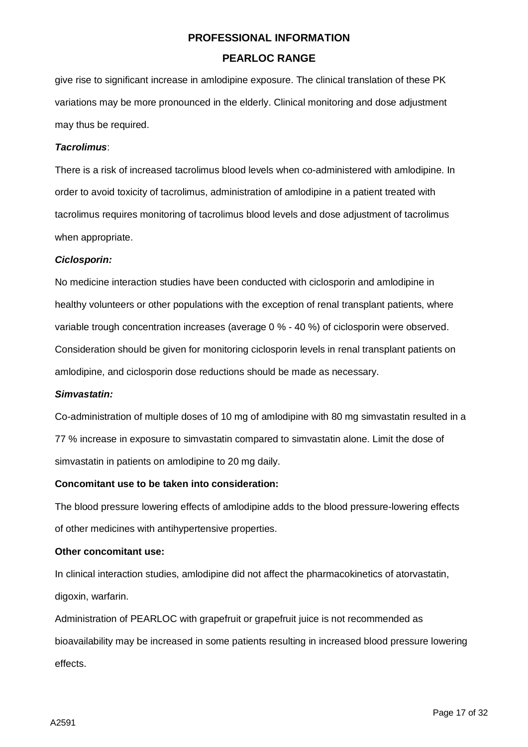give rise to significant increase in amlodipine exposure. The clinical translation of these PK variations may be more pronounced in the elderly. Clinical monitoring and dose adjustment may thus be required.

#### *Tacrolimus*:

There is a risk of increased tacrolimus blood levels when co-administered with amlodipine. In order to avoid toxicity of tacrolimus, administration of amlodipine in a patient treated with tacrolimus requires monitoring of tacrolimus blood levels and dose adjustment of tacrolimus when appropriate.

#### *Ciclosporin:*

No medicine interaction studies have been conducted with ciclosporin and amlodipine in healthy volunteers or other populations with the exception of renal transplant patients, where variable trough concentration increases (average 0 % - 40 %) of ciclosporin were observed. Consideration should be given for monitoring ciclosporin levels in renal transplant patients on amlodipine, and ciclosporin dose reductions should be made as necessary.

#### *Simvastatin:*

Co-administration of multiple doses of 10 mg of amlodipine with 80 mg simvastatin resulted in a 77 % increase in exposure to simvastatin compared to simvastatin alone. Limit the dose of simvastatin in patients on amlodipine to 20 mg daily.

#### **Concomitant use to be taken into consideration:**

The blood pressure lowering effects of amlodipine adds to the blood pressure-lowering effects of other medicines with antihypertensive properties.

#### **Other concomitant use:**

In clinical interaction studies, amlodipine did not affect the pharmacokinetics of atorvastatin, digoxin, warfarin.

Administration of PEARLOC with grapefruit or grapefruit juice is not recommended as bioavailability may be increased in some patients resulting in increased blood pressure lowering effects.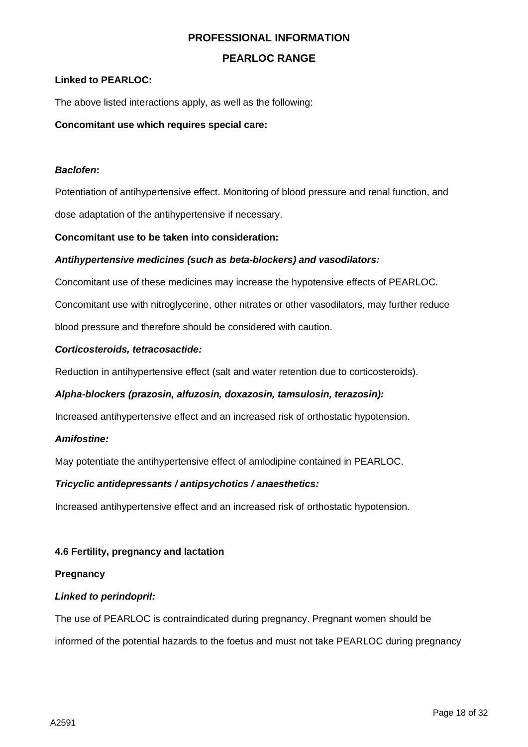## **PEARLOC RANGE**

#### **Linked to PEARLOC:**

The above listed interactions apply, as well as the following:

#### **Concomitant use which requires special care:**

#### *Baclofen***:**

Potentiation of antihypertensive effect. Monitoring of blood pressure and renal function, and dose adaptation of the antihypertensive if necessary.

#### **Concomitant use to be taken into consideration:**

#### *Antihypertensive medicines (such as beta-blockers) and vasodilators:*

Concomitant use of these medicines may increase the hypotensive effects of PEARLOC.

Concomitant use with nitroglycerine, other nitrates or other vasodilators, may further reduce

blood pressure and therefore should be considered with caution.

#### *Corticosteroids, tetracosactide:*

Reduction in antihypertensive effect (salt and water retention due to corticosteroids).

#### *Alpha-blockers (prazosin, alfuzosin, doxazosin, tamsulosin, terazosin):*

Increased antihypertensive effect and an increased risk of orthostatic hypotension.

#### *Amifostine:*

May potentiate the antihypertensive effect of amlodipine contained in PEARLOC.

#### *Tricyclic antidepressants / antipsychotics / anaesthetics:*

Increased antihypertensive effect and an increased risk of orthostatic hypotension.

#### **4.6 Fertility, pregnancy and lactation**

#### **Pregnancy**

#### *Linked to perindopril:*

The use of PEARLOC is contraindicated during pregnancy. Pregnant women should be informed of the potential hazards to the foetus and must not take PEARLOC during pregnancy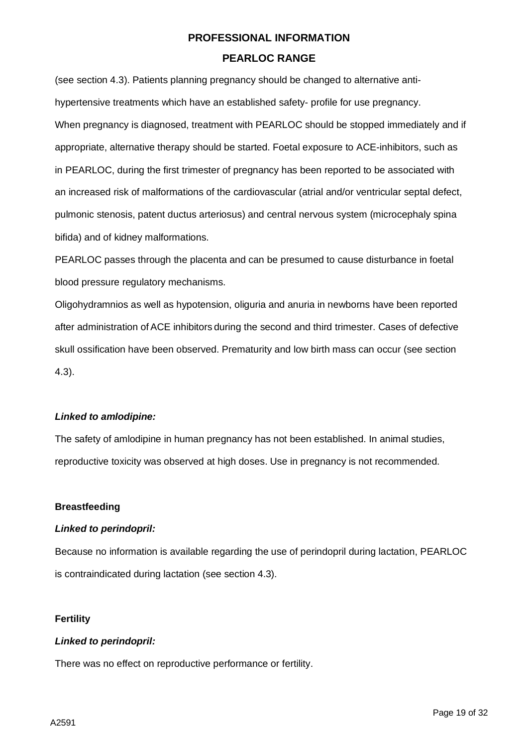(see section 4.3). Patients planning pregnancy should be changed to alternative antihypertensive treatments which have an established safety- profile for use pregnancy. When pregnancy is diagnosed, treatment with PEARLOC should be stopped immediately and if appropriate, alternative therapy should be started. Foetal exposure to ACE-inhibitors, such as in PEARLOC, during the first trimester of pregnancy has been reported to be associated with an increased risk of malformations of the cardiovascular (atrial and/or ventricular septal defect, pulmonic stenosis, patent ductus arteriosus) and central nervous system (microcephaly spina bifida) and of kidney malformations.

PEARLOC passes through the placenta and can be presumed to cause disturbance in foetal blood pressure regulatory mechanisms.

Oligohydramnios as well as hypotension, oliguria and anuria in newborns have been reported after administration ofACE inhibitors during the second and third trimester. Cases of defective skull ossification have been observed. Prematurity and low birth mass can occur (see section 4.3).

## *Linked to amlodipine:*

The safety of amlodipine in human pregnancy has not been established. In animal studies, reproductive toxicity was observed at high doses. Use in pregnancy is not recommended.

## **Breastfeeding**

#### *Linked to perindopril:*

Because no information is available regarding the use of perindopril during lactation, PEARLOC is contraindicated during lactation (see section 4.3).

#### **Fertility**

## *Linked to perindopril:*

There was no effect on reproductive performance or fertility.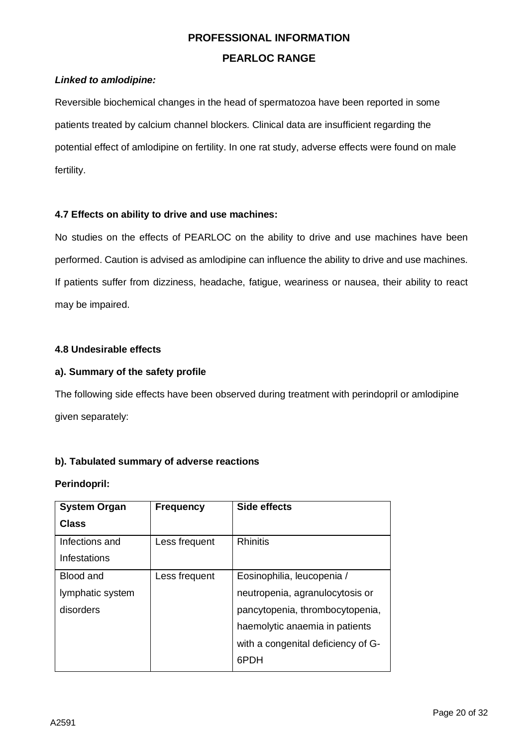## *Linked to amlodipine:*

Reversible biochemical changes in the head of spermatozoa have been reported in some patients treated by calcium channel blockers. Clinical data are insufficient regarding the potential effect of amlodipine on fertility. In one rat study, adverse effects were found on male fertility.

#### **4.7 Effects on ability to drive and use machines:**

No studies on the effects of PEARLOC on the ability to drive and use machines have been performed. Caution is advised as amlodipine can influence the ability to drive and use machines. If patients suffer from dizziness, headache, fatigue, weariness or nausea, their ability to react may be impaired.

#### **4.8 Undesirable effects**

## **a). Summary of the safety profile**

The following side effects have been observed during treatment with perindopril or amlodipine given separately:

## **b). Tabulated summary of adverse reactions**

#### **Perindopril:**

| <b>System Organ</b> | <b>Frequency</b> | <b>Side effects</b>                |
|---------------------|------------------|------------------------------------|
| Class               |                  |                                    |
| Infections and      | Less frequent    | <b>Rhinitis</b>                    |
| Infestations        |                  |                                    |
| <b>Blood and</b>    | Less frequent    | Eosinophilia, leucopenia /         |
| lymphatic system    |                  | neutropenia, agranulocytosis or    |
| disorders           |                  | pancytopenia, thrombocytopenia,    |
|                     |                  | haemolytic anaemia in patients     |
|                     |                  | with a congenital deficiency of G- |
|                     |                  | 6PDH                               |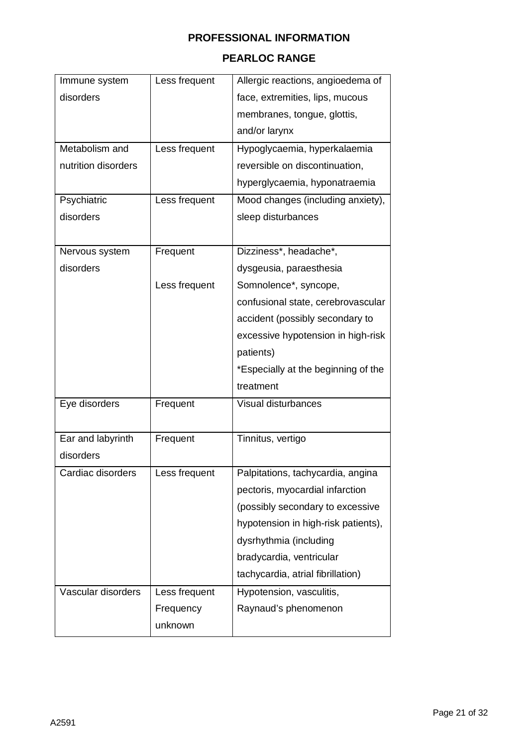## **PEARLOC RANGE**

| Immune system       | Less frequent | Allergic reactions, angioedema of   |
|---------------------|---------------|-------------------------------------|
| disorders           |               | face, extremities, lips, mucous     |
|                     |               | membranes, tongue, glottis,         |
|                     |               | and/or larynx                       |
| Metabolism and      | Less frequent | Hypoglycaemia, hyperkalaemia        |
| nutrition disorders |               | reversible on discontinuation,      |
|                     |               | hyperglycaemia, hyponatraemia       |
| Psychiatric         | Less frequent | Mood changes (including anxiety),   |
| disorders           |               | sleep disturbances                  |
|                     |               |                                     |
| Nervous system      | Frequent      | Dizziness*, headache*,              |
| disorders           |               | dysgeusia, paraesthesia             |
|                     | Less frequent | Somnolence*, syncope,               |
|                     |               | confusional state, cerebrovascular  |
|                     |               | accident (possibly secondary to     |
|                     |               | excessive hypotension in high-risk  |
|                     |               | patients)                           |
|                     |               | *Especially at the beginning of the |
|                     |               | treatment                           |
| Eye disorders       | Frequent      | Visual disturbances                 |
|                     |               |                                     |
| Ear and labyrinth   | Frequent      | Tinnitus, vertigo                   |
| disorders           |               |                                     |
| Cardiac disorders   | Less frequent | Palpitations, tachycardia, angina   |
|                     |               | pectoris, myocardial infarction     |
|                     |               | (possibly secondary to excessive    |
|                     |               | hypotension in high-risk patients), |
|                     |               | dysrhythmia (including              |
|                     |               | bradycardia, ventricular            |
|                     |               | tachycardia, atrial fibrillation)   |
| Vascular disorders  | Less frequent | Hypotension, vasculitis,            |
|                     | Frequency     | Raynaud's phenomenon                |
|                     | unknown       |                                     |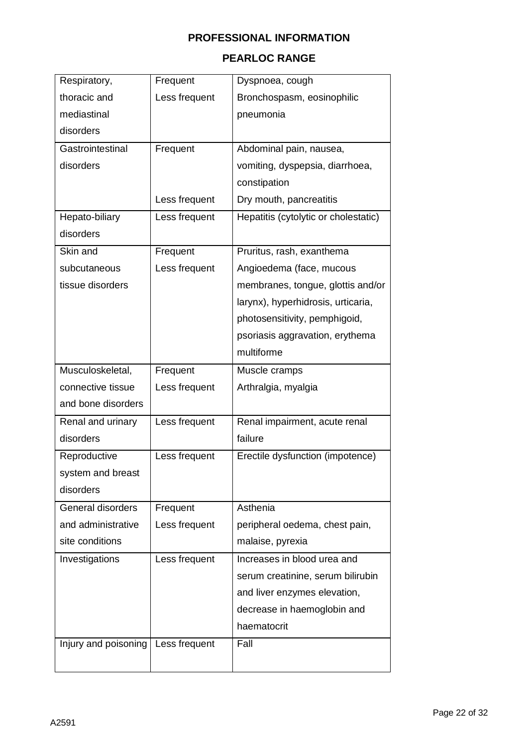## **PEARLOC RANGE**

| Respiratory,         | Frequent      | Dyspnoea, cough                      |
|----------------------|---------------|--------------------------------------|
| thoracic and         | Less frequent | Bronchospasm, eosinophilic           |
| mediastinal          |               | pneumonia                            |
| disorders            |               |                                      |
| Gastrointestinal     | Frequent      | Abdominal pain, nausea,              |
| disorders            |               | vomiting, dyspepsia, diarrhoea,      |
|                      |               | constipation                         |
|                      | Less frequent | Dry mouth, pancreatitis              |
| Hepato-biliary       | Less frequent | Hepatitis (cytolytic or cholestatic) |
| disorders            |               |                                      |
| Skin and             | Frequent      | Pruritus, rash, exanthema            |
| subcutaneous         | Less frequent | Angioedema (face, mucous             |
| tissue disorders     |               | membranes, tongue, glottis and/or    |
|                      |               | larynx), hyperhidrosis, urticaria,   |
|                      |               | photosensitivity, pemphigoid,        |
|                      |               | psoriasis aggravation, erythema      |
|                      |               | multiforme                           |
| Musculoskeletal,     | Frequent      | Muscle cramps                        |
| connective tissue    | Less frequent | Arthralgia, myalgia                  |
| and bone disorders   |               |                                      |
| Renal and urinary    | Less frequent | Renal impairment, acute renal        |
| disorders            |               | failure                              |
| Reproductive         | Less frequent | Erectile dysfunction (impotence)     |
| system and breast    |               |                                      |
| disorders            |               |                                      |
| General disorders    | Frequent      | Asthenia                             |
| and administrative   | Less frequent | peripheral oedema, chest pain,       |
| site conditions      |               | malaise, pyrexia                     |
| Investigations       | Less frequent | Increases in blood urea and          |
|                      |               | serum creatinine, serum bilirubin    |
|                      |               | and liver enzymes elevation,         |
|                      |               | decrease in haemoglobin and          |
|                      |               | haematocrit                          |
| Injury and poisoning | Less frequent | Fall                                 |
|                      |               |                                      |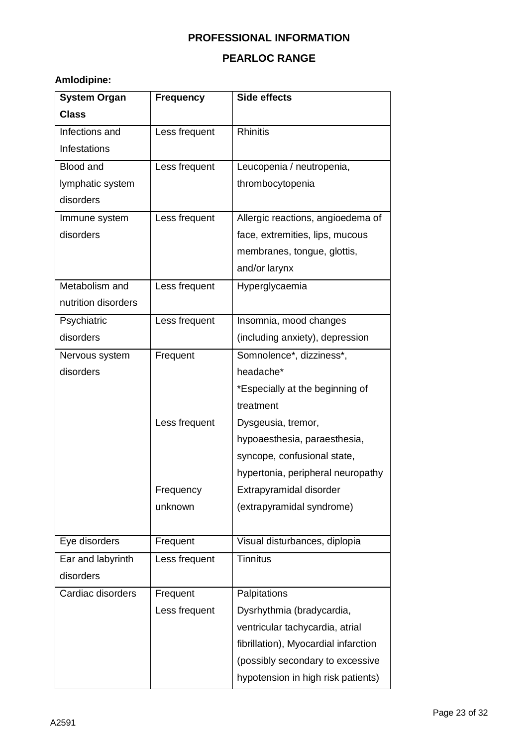## **PEARLOC RANGE**

## **Amlodipine:**

| <b>System Organ</b> | <b>Frequency</b> | <b>Side effects</b>                  |
|---------------------|------------------|--------------------------------------|
| <b>Class</b>        |                  |                                      |
| Infections and      | Less frequent    | <b>Rhinitis</b>                      |
| Infestations        |                  |                                      |
| <b>Blood and</b>    | Less frequent    | Leucopenia / neutropenia,            |
| lymphatic system    |                  | thrombocytopenia                     |
| disorders           |                  |                                      |
| Immune system       | Less frequent    | Allergic reactions, angioedema of    |
| disorders           |                  | face, extremities, lips, mucous      |
|                     |                  | membranes, tongue, glottis,          |
|                     |                  | and/or larynx                        |
| Metabolism and      | Less frequent    | Hyperglycaemia                       |
| nutrition disorders |                  |                                      |
| Psychiatric         | Less frequent    | Insomnia, mood changes               |
| disorders           |                  | (including anxiety), depression      |
| Nervous system      | Frequent         | Somnolence*, dizziness*,             |
| disorders           |                  | headache*                            |
|                     |                  | *Especially at the beginning of      |
|                     |                  | treatment                            |
|                     | Less frequent    | Dysgeusia, tremor,                   |
|                     |                  | hypoaesthesia, paraesthesia,         |
|                     |                  | syncope, confusional state,          |
|                     |                  | hypertonia, peripheral neuropathy    |
|                     | Frequency        | Extrapyramidal disorder              |
|                     | unknown          | (extrapyramidal syndrome)            |
|                     |                  |                                      |
| Eye disorders       | Frequent         | Visual disturbances, diplopia        |
| Ear and labyrinth   | Less frequent    | <b>Tinnitus</b>                      |
| disorders           |                  |                                      |
| Cardiac disorders   | Frequent         | Palpitations                         |
|                     | Less frequent    | Dysrhythmia (bradycardia,            |
|                     |                  | ventricular tachycardia, atrial      |
|                     |                  | fibrillation), Myocardial infarction |
|                     |                  | (possibly secondary to excessive     |
|                     |                  | hypotension in high risk patients)   |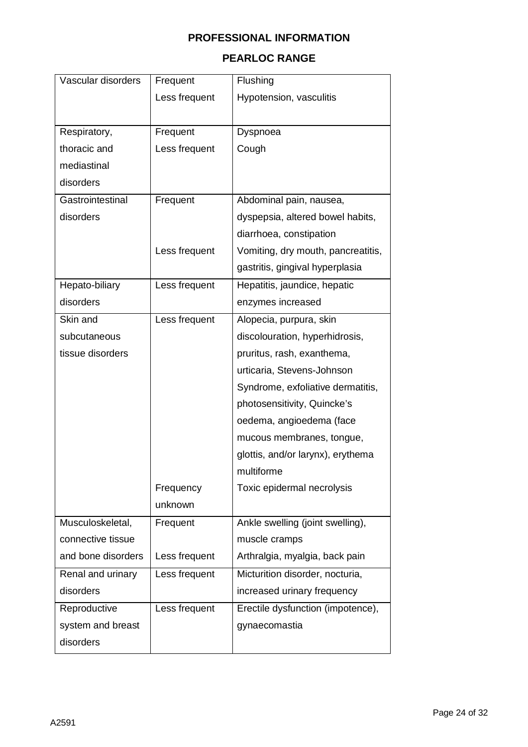## **PEARLOC RANGE**

| Vascular disorders | Frequent      | Flushing                           |
|--------------------|---------------|------------------------------------|
|                    | Less frequent | Hypotension, vasculitis            |
|                    |               |                                    |
| Respiratory,       | Frequent      | Dyspnoea                           |
| thoracic and       | Less frequent | Cough                              |
| mediastinal        |               |                                    |
| disorders          |               |                                    |
| Gastrointestinal   | Frequent      | Abdominal pain, nausea,            |
| disorders          |               | dyspepsia, altered bowel habits,   |
|                    |               | diarrhoea, constipation            |
|                    | Less frequent | Vomiting, dry mouth, pancreatitis, |
|                    |               | gastritis, gingival hyperplasia    |
| Hepato-biliary     | Less frequent | Hepatitis, jaundice, hepatic       |
| disorders          |               | enzymes increased                  |
| Skin and           | Less frequent | Alopecia, purpura, skin            |
| subcutaneous       |               | discolouration, hyperhidrosis,     |
| tissue disorders   |               | pruritus, rash, exanthema,         |
|                    |               | urticaria, Stevens-Johnson         |
|                    |               | Syndrome, exfoliative dermatitis,  |
|                    |               | photosensitivity, Quincke's        |
|                    |               | oedema, angioedema (face           |
|                    |               | mucous membranes, tongue,          |
|                    |               | glottis, and/or larynx), erythema  |
|                    |               | multiforme                         |
|                    | Frequency     | Toxic epidermal necrolysis         |
|                    | unknown       |                                    |
| Musculoskeletal,   | Frequent      | Ankle swelling (joint swelling),   |
| connective tissue  |               | muscle cramps                      |
| and bone disorders | Less frequent | Arthralgia, myalgia, back pain     |
| Renal and urinary  | Less frequent | Micturition disorder, nocturia,    |
| disorders          |               | increased urinary frequency        |
| Reproductive       | Less frequent | Erectile dysfunction (impotence),  |
| system and breast  |               | gynaecomastia                      |
| disorders          |               |                                    |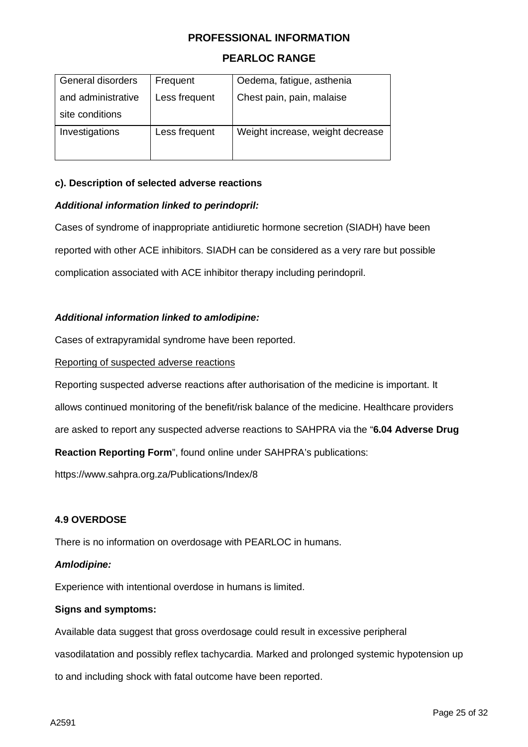## **PEARLOC RANGE**

| General disorders  | Frequent      | Oedema, fatigue, asthenia        |
|--------------------|---------------|----------------------------------|
| and administrative | Less frequent | Chest pain, pain, malaise        |
| site conditions    |               |                                  |
| Investigations     | Less frequent | Weight increase, weight decrease |

#### **c). Description of selected adverse reactions**

#### *Additional information linked to perindopril:*

Cases of syndrome of inappropriate antidiuretic hormone secretion (SIADH) have been reported with other ACE inhibitors. SIADH can be considered as a very rare but possible complication associated with ACE inhibitor therapy including perindopril.

#### *Additional information linked to amlodipine:*

Cases of extrapyramidal syndrome have been reported.

#### Reporting of suspected adverse reactions

Reporting suspected adverse reactions after authorisation of the medicine is important. It

allows continued monitoring of the benefit/risk balance of the medicine. Healthcare providers

are asked to report any suspected adverse reactions to SAHPRA via the "**6.04 Adverse Drug** 

**Reaction Reporting Form**", found online under SAHPRA's publications:

<https://www.sahpra.org.za/Publications/Index/8>

#### **4.9 OVERDOSE**

There is no information on overdosage with PEARLOC in humans.

#### *Amlodipine:*

Experience with intentional overdose in humans is limited.

#### **Signs and symptoms:**

Available data suggest that gross overdosage could result in excessive peripheral

vasodilatation and possibly reflex tachycardia. Marked and prolonged systemic hypotension up

to and including shock with fatal outcome have been reported.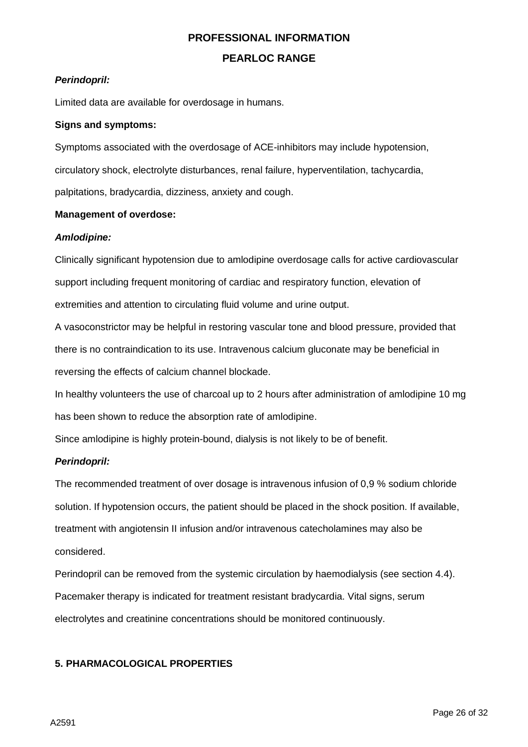## **PEARLOC RANGE**

## *Perindopril:*

Limited data are available for overdosage in humans.

## **Signs and symptoms:**

Symptoms associated with the overdosage of ACE-inhibitors may include hypotension, circulatory shock, electrolyte disturbances, renal failure, hyperventilation, tachycardia, palpitations, bradycardia, dizziness, anxiety and cough.

## **Management of overdose:**

## *Amlodipine:*

Clinically significant hypotension due to amlodipine overdosage calls for active cardiovascular support including frequent monitoring of cardiac and respiratory function, elevation of extremities and attention to circulating fluid volume and urine output.

A vasoconstrictor may be helpful in restoring vascular tone and blood pressure, provided that there is no contraindication to its use. Intravenous calcium gluconate may be beneficial in reversing the effects of calcium channel blockade.

In healthy volunteers the use of charcoal up to 2 hours after administration of amlodipine 10 mg has been shown to reduce the absorption rate of amlodipine.

Since amlodipine is highly protein-bound, dialysis is not likely to be of benefit.

## *Perindopril:*

The recommended treatment of over dosage is intravenous infusion of 0,9 % sodium chloride solution. If hypotension occurs, the patient should be placed in the shock position. If available, treatment with angiotensin II infusion and/or intravenous catecholamines may also be considered.

Perindopril can be removed from the systemic circulation by haemodialysis (see section 4.4). Pacemaker therapy is indicated for treatment resistant bradycardia. Vital signs, serum electrolytes and creatinine concentrations should be monitored continuously.

## **5. PHARMACOLOGICAL PROPERTIES**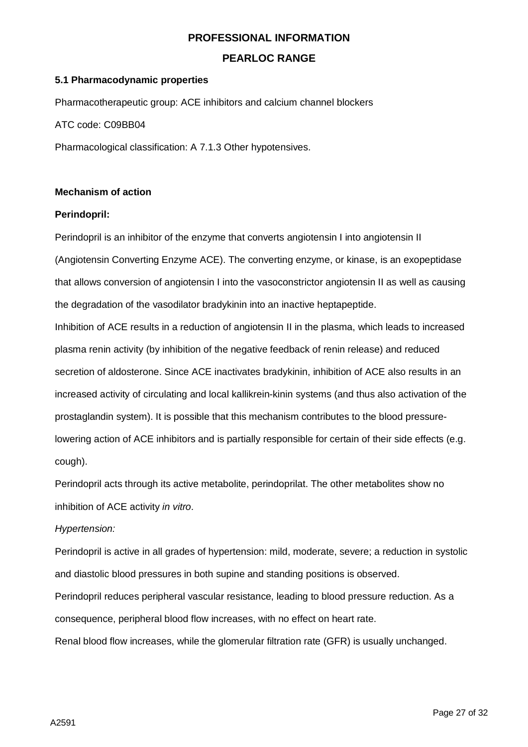## **PEARLOC RANGE**

#### **5.1 Pharmacodynamic properties**

Pharmacotherapeutic group: ACE inhibitors and calcium channel blockers

ATC code: C09BB04

Pharmacological classification: A 7.1.3 Other hypotensives.

#### **Mechanism of action**

#### **Perindopril:**

Perindopril is an inhibitor of the enzyme that converts angiotensin I into angiotensin II (Angiotensin Converting Enzyme ACE). The converting enzyme, or kinase, is an exopeptidase that allows conversion of angiotensin I into the vasoconstrictor angiotensin II as well as causing the degradation of the vasodilator bradykinin into an inactive heptapeptide.

Inhibition of ACE results in a reduction of angiotensin II in the plasma, which leads to increased plasma renin activity (by inhibition of the negative feedback of renin release) and reduced secretion of aldosterone. Since ACE inactivates bradykinin, inhibition of ACE also results in an increased activity of circulating and local kallikrein-kinin systems (and thus also activation of the prostaglandin system). It is possible that this mechanism contributes to the blood pressurelowering action of ACE inhibitors and is partially responsible for certain of their side effects (e.g. cough).

Perindopril acts through its active metabolite, perindoprilat. The other metabolites show no inhibition of ACE activity *in vitro*.

#### *Hypertension:*

Perindopril is active in all grades of hypertension: mild, moderate, severe; a reduction in systolic and diastolic blood pressures in both supine and standing positions is observed.

Perindopril reduces peripheral vascular resistance, leading to blood pressure reduction. As a consequence, peripheral blood flow increases, with no effect on heart rate.

Renal blood flow increases, while the glomerular filtration rate (GFR) is usually unchanged.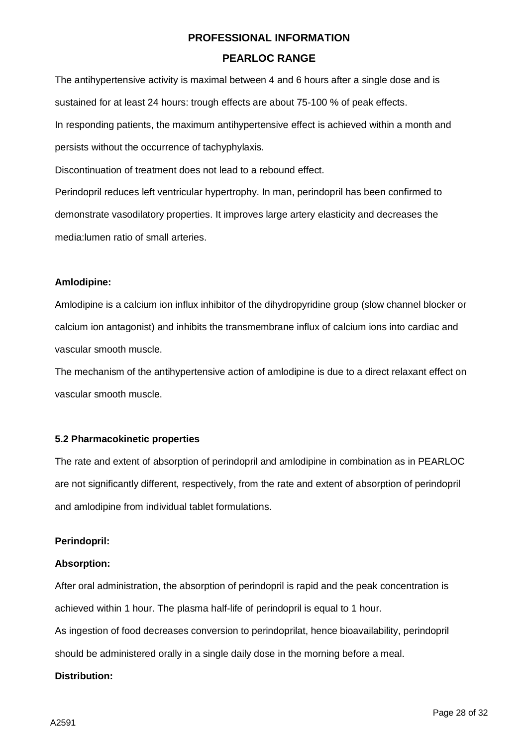## **PEARLOC RANGE**

The antihypertensive activity is maximal between 4 and 6 hours after a single dose and is sustained for at least 24 hours: trough effects are about 75-100 % of peak effects. In responding patients, the maximum antihypertensive effect is achieved within a month and persists without the occurrence of tachyphylaxis.

Discontinuation of treatment does not lead to a rebound effect.

Perindopril reduces left ventricular hypertrophy. In man, perindopril has been confirmed to demonstrate vasodilatory properties. It improves large artery elasticity and decreases the media:lumen ratio of small arteries.

## **Amlodipine:**

Amlodipine is a calcium ion influx inhibitor of the dihydropyridine group (slow channel blocker or calcium ion antagonist) and inhibits the transmembrane influx of calcium ions into cardiac and vascular smooth muscle.

The mechanism of the antihypertensive action of amlodipine is due to a direct relaxant effect on vascular smooth muscle.

## **5.2 Pharmacokinetic properties**

The rate and extent of absorption of perindopril and amlodipine in combination as in PEARLOC are not significantly different, respectively, from the rate and extent of absorption of perindopril and amlodipine from individual tablet formulations.

#### **Perindopril:**

#### **Absorption:**

After oral administration, the absorption of perindopril is rapid and the peak concentration is achieved within 1 hour. The plasma half-life of perindopril is equal to 1 hour.

As ingestion of food decreases conversion to perindoprilat, hence bioavailability, perindopril should be administered orally in a single daily dose in the morning before a meal.

#### **Distribution:**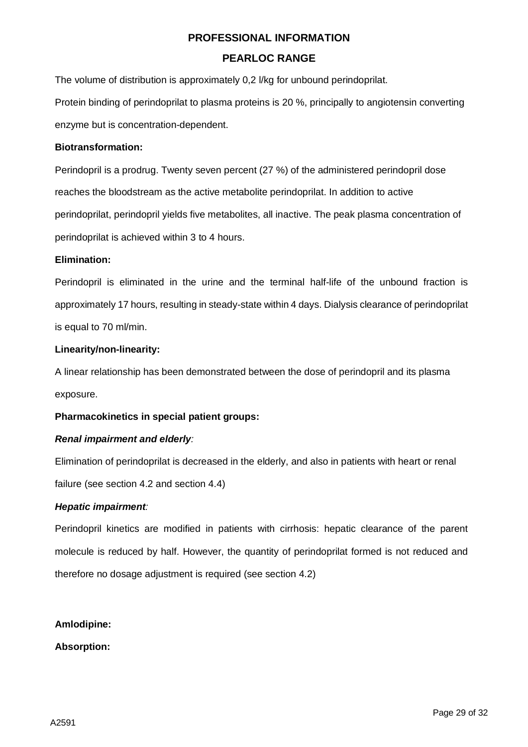## **PEARLOC RANGE**

The volume of distribution is approximately 0,2 l/kg for unbound perindoprilat.

Protein binding of perindoprilat to plasma proteins is 20 %, principally to angiotensin converting enzyme but is concentration-dependent.

#### **Biotransformation:**

Perindopril is a prodrug. Twenty seven percent (27 %) of the administered perindopril dose reaches the bloodstream as the active metabolite perindoprilat. In addition to active perindoprilat, perindopril yields five metabolites, all inactive. The peak plasma concentration of perindoprilat is achieved within 3 to 4 hours.

#### **Elimination:**

Perindopril is eliminated in the urine and the terminal half-life of the unbound fraction is approximately 17 hours, resulting in steady-state within 4 days. Dialysis clearance of perindoprilat is equal to 70 ml/min.

## **Linearity/non-linearity:**

A linear relationship has been demonstrated between the dose of perindopril and its plasma exposure.

#### **Pharmacokinetics in special patient groups:**

## *Renal impairment and elderly:*

Elimination of perindoprilat is decreased in the elderly, and also in patients with heart or renal failure (see section 4.2 and section 4.4)

#### *Hepatic impairment:*

Perindopril kinetics are modified in patients with cirrhosis: hepatic clearance of the parent molecule is reduced by half. However, the quantity of perindoprilat formed is not reduced and therefore no dosage adjustment is required (see section 4.2)

#### **Amlodipine:**

**Absorption:**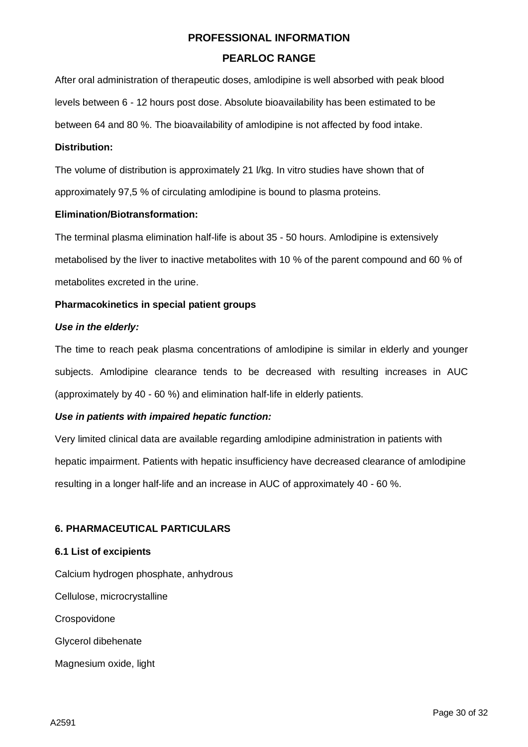## **PEARLOC RANGE**

After oral administration of therapeutic doses, amlodipine is well absorbed with peak blood levels between 6 - 12 hours post dose. Absolute bioavailability has been estimated to be between 64 and 80 %. The bioavailability of amlodipine is not affected by food intake.

#### **Distribution:**

The volume of distribution is approximately 21 l/kg. In vitro studies have shown that of approximately 97,5 % of circulating amlodipine is bound to plasma proteins.

## **Elimination/Biotransformation:**

The terminal plasma elimination half-life is about 35 - 50 hours. Amlodipine is extensively metabolised by the liver to inactive metabolites with 10 % of the parent compound and 60 % of metabolites excreted in the urine.

## **Pharmacokinetics in special patient groups**

## *Use in the elderly:*

The time to reach peak plasma concentrations of amlodipine is similar in elderly and younger subjects. Amlodipine clearance tends to be decreased with resulting increases in AUC (approximately by 40 - 60 %) and elimination half-life in elderly patients.

## *Use in patients with impaired hepatic function:*

Very limited clinical data are available regarding amlodipine administration in patients with hepatic impairment. Patients with hepatic insufficiency have decreased clearance of amlodipine resulting in a longer half-life and an increase in AUC of approximately 40 - 60 %.

#### **6. PHARMACEUTICAL PARTICULARS**

#### **6.1 List of excipients**

Calcium hydrogen phosphate, anhydrous

Cellulose, microcrystalline

**Crospovidone** 

Glycerol dibehenate

Magnesium oxide, light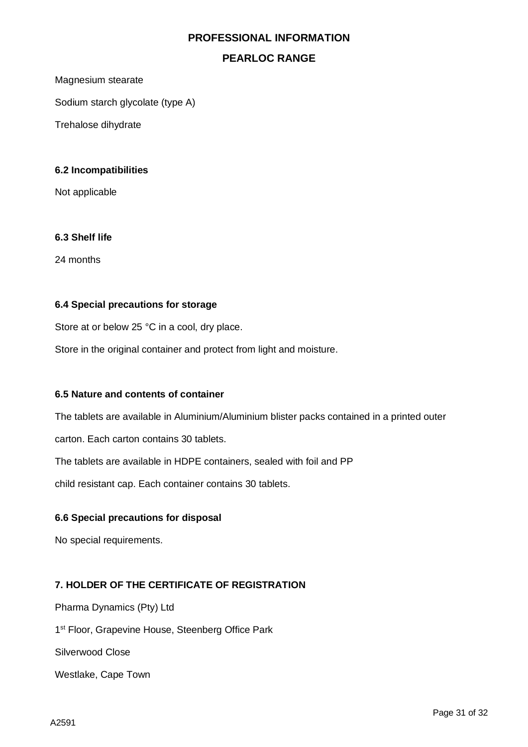## **PEARLOC RANGE**

Magnesium stearate

Sodium starch glycolate (type A)

Trehalose dihydrate

#### **6.2 Incompatibilities**

Not applicable

#### **6.3 Shelf life**

24 months

#### **6.4 Special precautions for storage**

Store at or below 25 °C in a cool, dry place.

Store in the original container and protect from light and moisture.

#### **6.5 Nature and contents of container**

The tablets are available in Aluminium/Aluminium blister packs contained in a printed outer

carton. Each carton contains 30 tablets.

The tablets are available in HDPE containers, sealed with foil and PP

child resistant cap. Each container contains 30 tablets.

#### **6.6 Special precautions for disposal**

No special requirements.

#### **7. HOLDER OF THE CERTIFICATE OF REGISTRATION**

Pharma Dynamics (Pty) Ltd

1<sup>st</sup> Floor, Grapevine House, Steenberg Office Park

Silverwood Close

Westlake, Cape Town